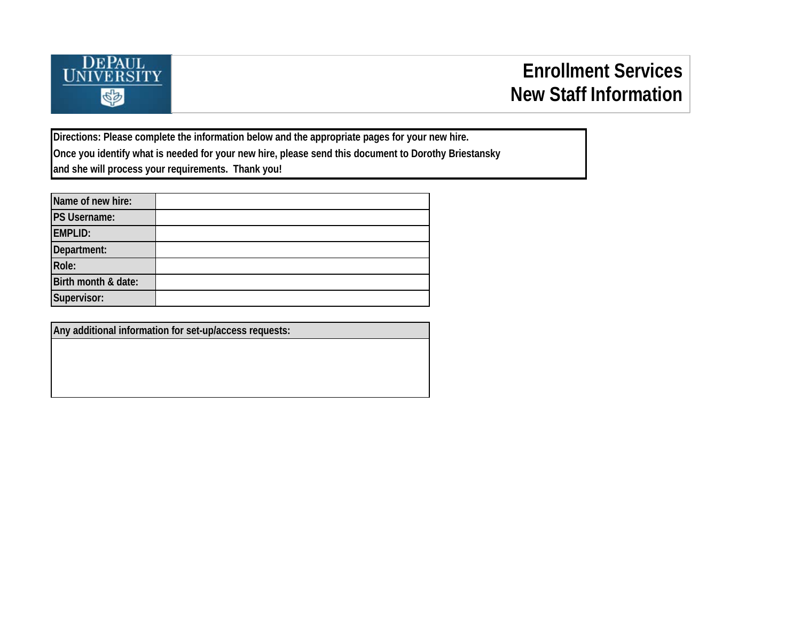

**Directions: Please complete the information below and the appropriate pages for your new hire. Once you identify what is needed for your new hire, please send this document to Dorothy Briestansky and she will process your requirements. Thank you!**

| Name of new hire:   |  |
|---------------------|--|
| <b>PS Username:</b> |  |
| <b>EMPLID:</b>      |  |
| Department:         |  |
| Role:               |  |
| Birth month & date: |  |
| Supervisor:         |  |

**Any additional information for set-up/access requests:**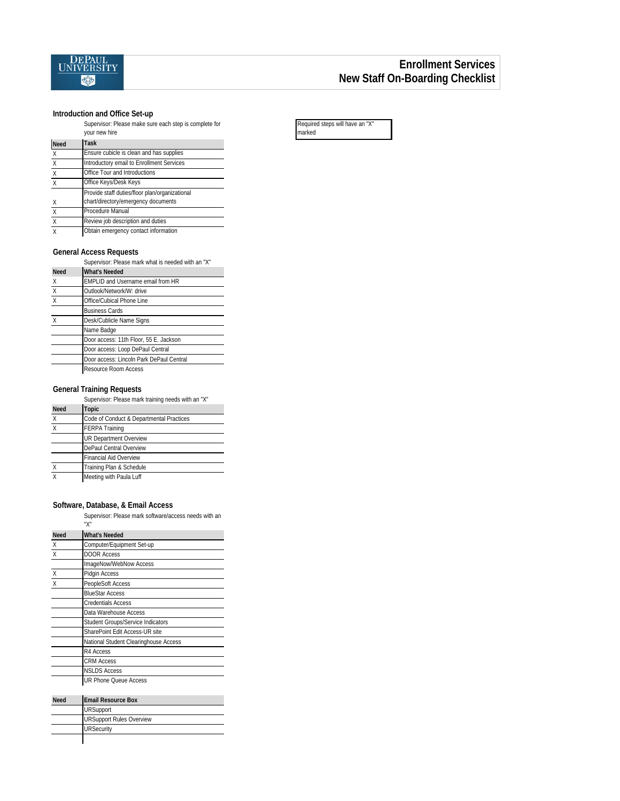

#### **Introduction and Office Set-up**

Supervisor: Please make sure each step is complete for your new hire

|             | yuur nuw ninu                                  |
|-------------|------------------------------------------------|
| <b>Need</b> | Task                                           |
| X           | Ensure cubicle is clean and has supplies       |
| X           | Introductory email to Enrollment Services      |
| X           | Office Tour and Introductions                  |
| X           | Office Keys/Desk Keys                          |
|             | Provide staff duties/floor plan/organizational |
| Χ           | chart/directory/emergency documents            |
| X           | Procedure Manual                               |
| X           | Review job description and duties              |
| X           | Obtain emergency contact information           |

#### **General Access Requests**

|                           | Supervisor: Please mark what is needed with an "X" |
|---------------------------|----------------------------------------------------|
| <b>Need</b>               | <b>What's Needed</b>                               |
| X                         | <b>EMPLID and Username email from HR</b>           |
| $\times$                  | Outlook/Network/W: drive                           |
| $\boldsymbol{\mathsf{X}}$ | Office/Cubical Phone Line                          |
|                           | <b>Business Cards</b>                              |
| $\chi$                    | Desk/Cublicle Name Signs                           |
|                           | Name Badge                                         |
|                           | Door access: 11th Floor, 55 E. Jackson             |
|                           | Door access: Loop DePaul Central                   |
|                           | Door access: Lincoln Park DePaul Central           |
|                           | Resource Room Access                               |

#### **General Training Requests**

|              | Supervisor: Please mark training needs with an "X" |
|--------------|----------------------------------------------------|
| <b>Need</b>  | Topic                                              |
| X            | Code of Conduct & Departmental Practices           |
| $\mathsf{x}$ | <b>FERPA Training</b>                              |
|              | UR Department Overview                             |
|              | DePaul Central Overview                            |
|              | <b>Financial Aid Overview</b>                      |
| $\times$     | Training Plan & Schedule                           |
| X            | Meeting with Paula Luff                            |

#### **Software, Database, & Email Access**

Supervisor: Please mark software/access needs with an

|             | "Х"                                      |
|-------------|------------------------------------------|
| <b>Need</b> | <b>What's Needed</b>                     |
| Χ           | Computer/Equipment Set-up                |
| $\sf X$     | <b>DOOR Access</b>                       |
|             | ImageNow/WebNow Access                   |
| $\sf X$     | Pidgin Access                            |
| X           | PeopleSoft Access                        |
|             | <b>BlueStar Access</b>                   |
|             | <b>Credentials Access</b>                |
|             | Data Warehouse Access                    |
|             | <b>Student Groups/Service Indicators</b> |
|             | SharePoint Edit Access-UR site           |
|             | National Student Clearinghouse Access    |
|             | R4 Access                                |
|             | <b>CRM Access</b>                        |
|             | <b>NSLDS Access</b>                      |
|             | <b>UR Phone Queue Access</b>             |
|             |                                          |
| <b>Need</b> | <b>Email Resource Box</b>                |
|             | <b>URSupport</b>                         |
|             | <b>URSupport Rules Overview</b>          |
|             | <b>URSecurity</b>                        |

| Required steps will have an "X" |  |
|---------------------------------|--|
| marked                          |  |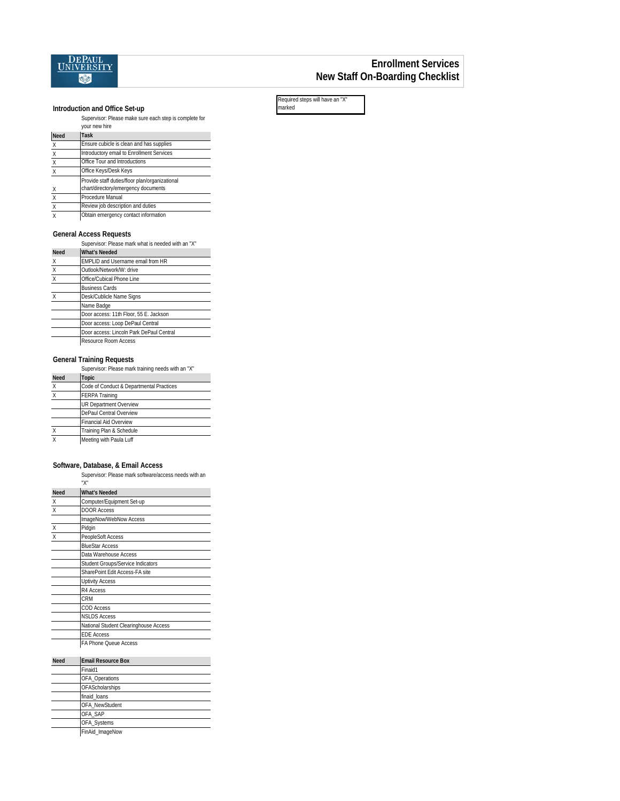

### **Enrollment Services New Staff On-Boarding Checklist**

**Introduction and Office Set-up**

|                           | Supervisor: Please make sure each step is complete for<br>your new hire               |
|---------------------------|---------------------------------------------------------------------------------------|
| <b>Need</b>               | Task                                                                                  |
| X                         | Ensure cubicle is clean and has supplies                                              |
| $\boldsymbol{\mathsf{X}}$ | Introductory email to Enrollment Services                                             |
| $\sf X$                   | Office Tour and Introductions                                                         |
| $\overline{X}$            | Office Keys/Desk Keys                                                                 |
| $\times$                  | Provide staff duties/floor plan/organizational<br>chart/directory/emergency documents |
| $\boldsymbol{\mathsf{X}}$ | Procedure Manual                                                                      |
| $\times$                  | Review job description and duties                                                     |
| $\mathsf{X}$              | Obtain emergency contact information                                                  |

#### **General Access Requests**

Supervisor: Please mark what is needed with an "X"

| <b>Need</b>               | <b>What's Needed</b>                     |
|---------------------------|------------------------------------------|
| X                         | EMPLID and Username email from HR        |
| $\boldsymbol{\mathsf{X}}$ | Outlook/Network/W: drive                 |
| $\mathsf{X}$              | Office/Cubical Phone Line                |
|                           | <b>Business Cards</b>                    |
| X                         | Desk/Cublicle Name Signs                 |
|                           | Name Badge                               |
|                           | Door access: 11th Floor, 55 E. Jackson   |
|                           | Door access: Loop DePaul Central         |
|                           | Door access: Lincoln Park DePaul Central |
|                           | Resource Room Access                     |

#### **General Training Requests**

|                           | Supervisor: Please mark training needs with an "X" |
|---------------------------|----------------------------------------------------|
| <b>Need</b>               | <b>Topic</b>                                       |
| X                         | Code of Conduct & Departmental Practices           |
| $\boldsymbol{\mathsf{x}}$ | <b>FERPA Training</b>                              |
|                           | <b>UR Department Overview</b>                      |
|                           | DePaul Central Overview                            |
|                           | <b>Financial Aid Overview</b>                      |
| $\boldsymbol{\mathsf{X}}$ | Training Plan & Schedule                           |
| X                         | Meeting with Paula Luff                            |

#### **Software, Database, & Email Access**

Supervisor: Please mark software/access needs with an

|                | "Х"                                   |
|----------------|---------------------------------------|
| <b>Need</b>    | <b>What's Needed</b>                  |
| $\times$       | Computer/Equipment Set-up             |
| $\times$       | <b>DOOR Access</b>                    |
|                | ImageNow/WebNow Access                |
| $\mathsf X$    | Pidgin                                |
| $\overline{x}$ | PeopleSoft Access                     |
|                | <b>BlueStar Access</b>                |
|                | Data Warehouse Access                 |
|                | Student Groups/Service Indicators     |
|                | SharePoint Edit Access-FA site        |
|                | <b>Uptivity Access</b>                |
|                | R4 Access                             |
|                | <b>CRM</b>                            |
|                | <b>COD Access</b>                     |
|                | <b>NSLDS Access</b>                   |
|                | National Student Clearinghouse Access |
|                | <b>EDE Access</b>                     |
|                | FA Phone Queue Access                 |

| <b>Need</b> | <b>Email Resource Box</b> |
|-------------|---------------------------|
|             | Finaid1                   |
|             | OFA_Operations            |
|             | OFAScholarships           |
|             | finaid loans              |
|             | OFA NewStudent            |
|             | OFA SAP                   |
|             | OFA_Systems               |
|             | FinAid_ImageNow           |
|             |                           |

Required steps will have an "X" marked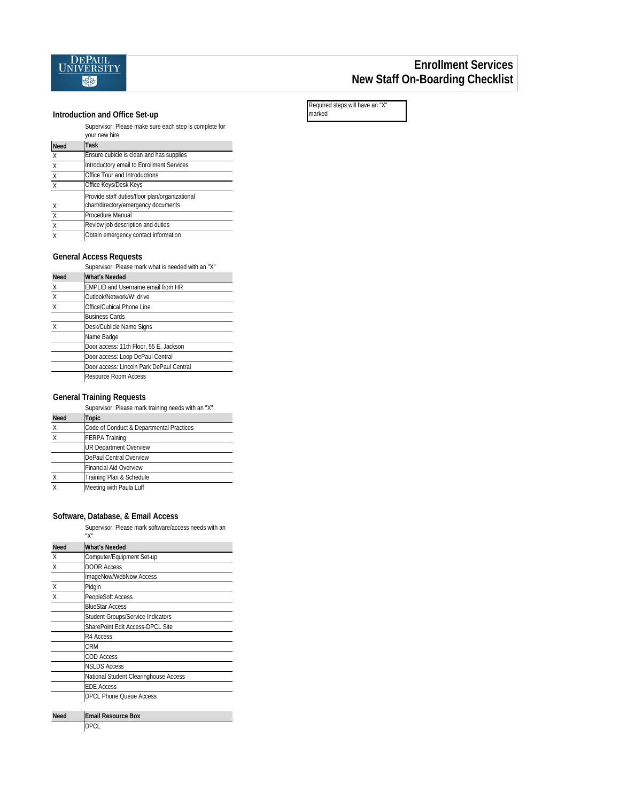

## **Enrollment Services New Staff On-Boarding Checklist**

#### **Introduction and Office Set-up**

Supervisor: Please make sure each step is complete for

|             | your new hire                                                                         |
|-------------|---------------------------------------------------------------------------------------|
| <b>Need</b> | Task                                                                                  |
| X           | Ensure cubicle is clean and has supplies                                              |
| X           | Introductory email to Enrollment Services                                             |
| Χ           | Office Tour and Introductions                                                         |
| X           | Office Keys/Desk Keys                                                                 |
| X           | Provide staff duties/floor plan/organizational<br>chart/directory/emergency documents |
| X           | Procedure Manual                                                                      |
| X           | Review job description and duties                                                     |
| X           | Obtain emergency contact information                                                  |

#### **General Access Requests**

|             | Supervisor: Please mark what is needed with an "X" |
|-------------|----------------------------------------------------|
| <b>Need</b> | <b>What's Needed</b>                               |
| Χ           | EMPLID and Username email from HR                  |
| $\sf X$     | Outlook/Network/W: drive                           |
| X           | Office/Cubical Phone Line                          |
|             | <b>Business Cards</b>                              |
|             | Desk/Cublicle Name Signs                           |
|             | Name Badge                                         |
|             | Door access: 11th Floor, 55 E. Jackson             |
|             | Door access: Loop DePaul Central                   |
|             | Door access: Lincoln Park DePaul Central           |
|             | Resource Room Access                               |

#### **General Training Requests**

Supervisor: Please mark training needs with an "X"

| <b>Need</b> | <b>Topic</b>                             |
|-------------|------------------------------------------|
| χ           | Code of Conduct & Departmental Practices |
| X           | <b>FERPA Training</b>                    |
|             | <b>UR Department Overview</b>            |
|             | DePaul Central Overview                  |
|             | Financial Aid Overview                   |
| X           | Training Plan & Schedule                 |
|             | Meeting with Paula Luff                  |

#### **Software, Database, & Email Access**

Supervisor: Please mark software/access needs with an

|             | "Х"                                   |
|-------------|---------------------------------------|
| <b>Need</b> | <b>What's Needed</b>                  |
| X           | Computer/Equipment Set-up             |
| X           | <b>DOOR Access</b>                    |
|             | ImageNow/WebNow Access                |
| X           | Pidgin                                |
| X           | PeopleSoft Access                     |
|             | <b>BlueStar Access</b>                |
|             | Student Groups/Service Indicators     |
|             | SharePoint Edit Access-DPCL Site      |
|             | R4 Access                             |
|             | CRM                                   |
|             | <b>COD Access</b>                     |
|             | <b>NSLDS Access</b>                   |
|             | National Student Clearinghouse Access |
|             | <b>FDF Access</b>                     |
|             | DPCL Phone Queue Access               |
|             |                                       |
| <b>Need</b> | <b>Email Resource Box</b>             |
|             | DPCL                                  |

| Required steps will have an "X" |  |
|---------------------------------|--|
| marked                          |  |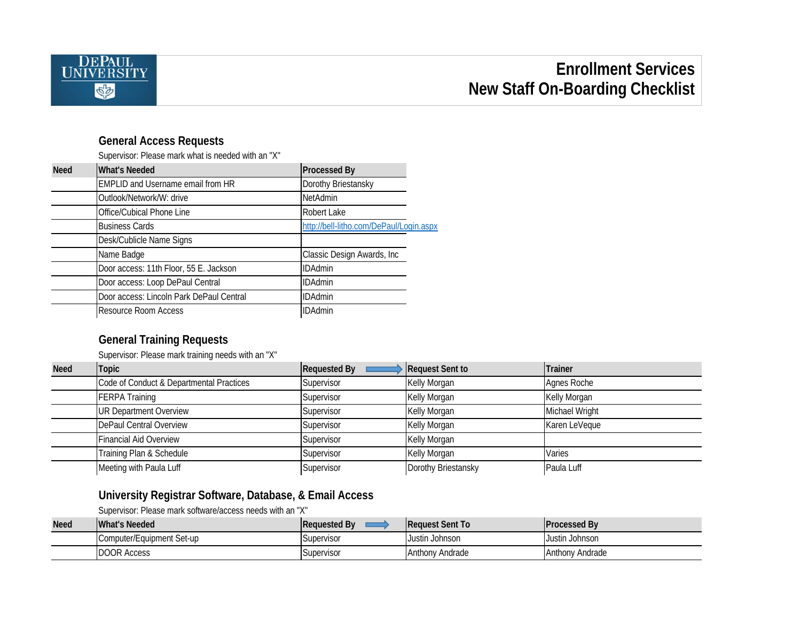

# **Enrollment Services New Staff On-Boarding Checklist**

## **General Access Requests**

Supervisor: Please mark what is needed with an "X"

| <b>Need</b> | <b>What's Needed</b>                     | <b>Processed By</b>                     |
|-------------|------------------------------------------|-----------------------------------------|
|             | <b>EMPLID and Username email from HR</b> | Dorothy Briestansky                     |
|             | Outlook/Network/W: drive                 | <b>NetAdmin</b>                         |
|             | Office/Cubical Phone Line                | Robert Lake                             |
|             | <b>Business Cards</b>                    | http://bell-litho.com/DePaul/Login.aspx |
|             | Desk/Cublicle Name Signs                 |                                         |
|             | Name Badge                               | Classic Design Awards, Inc.             |
|             | Door access: 11th Floor, 55 E. Jackson   | <b>IDAdmin</b>                          |
|             | Door access: Loop DePaul Central         | <b>IDAdmin</b>                          |
|             | Door access: Lincoln Park DePaul Central | <b>IDAdmin</b>                          |
|             | <b>Resource Room Access</b>              | <b>IDAdmin</b>                          |

## **General Training Requests**

Supervisor: Please mark training needs with an "X"

| <b>Need</b> | <b>Topic</b>                             | <b>Requested By</b> | Request Sent to     | <b>Trainer</b> |
|-------------|------------------------------------------|---------------------|---------------------|----------------|
|             | Code of Conduct & Departmental Practices | Supervisor          | Kelly Morgan        | Agnes Roche    |
|             | <b>FERPA Training</b>                    | Supervisor          | Kelly Morgan        | Kelly Morgan   |
|             | <b>UR Department Overview</b>            | Supervisor          | Kelly Morgan        | Michael Wright |
|             | DePaul Central Overview                  | Supervisor          | Kelly Morgan        | Karen LeVeque  |
|             | <b>Financial Aid Overview</b>            | Supervisor          | Kelly Morgan        |                |
|             | Training Plan & Schedule                 | Supervisor          | Kelly Morgan        | Varies         |
|             | Meeting with Paula Luff                  | Supervisor          | Dorothy Briestansky | Paula Luff     |

# **University Registrar Software, Database, & Email Access**

Supervisor: Please mark software/access needs with an "X"

| <b>Need</b> | What's Needed             | Requested By | <b>Reauest Sent To</b> | <b>IProcessed By</b> |
|-------------|---------------------------|--------------|------------------------|----------------------|
|             | Computer/Equipment Set-up | Supervisor   | Justin Johnson         | Justin Johnson       |
|             | <b>DOOR Access</b>        | Supervisor   | Anthony Andrade        | Anthony Andrade      |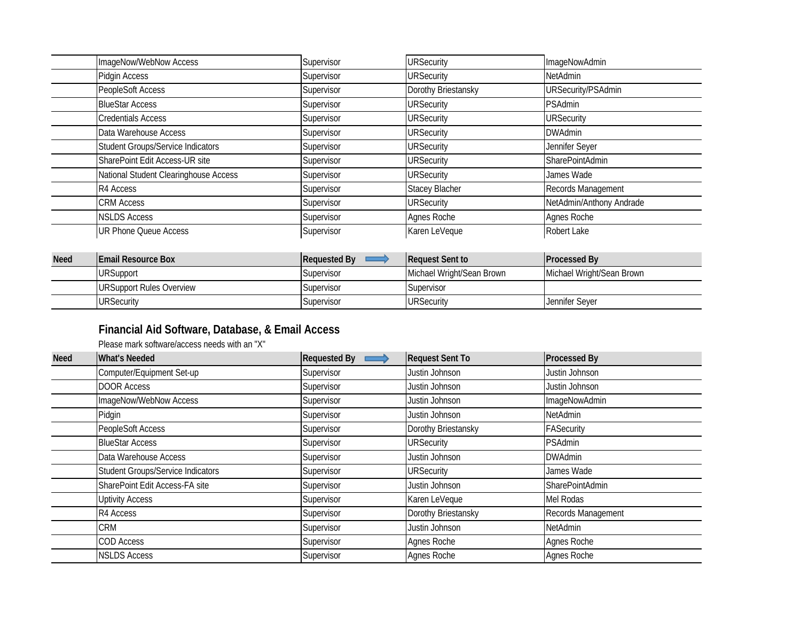| ImageNow/WebNow Access                   | Supervisor | <b>URSecurity</b>     | ImageNowAdmin             |
|------------------------------------------|------------|-----------------------|---------------------------|
| Pidgin Access                            | Supervisor | <b>URSecurity</b>     | NetAdmin                  |
| PeopleSoft Access                        | Supervisor | Dorothy Briestansky   | <b>URSecurity/PSAdmin</b> |
| <b>BlueStar Access</b>                   | Supervisor | <b>URSecurity</b>     | <b>PSAdmin</b>            |
| <b>Credentials Access</b>                | Supervisor | <b>URSecurity</b>     | <b>URSecurity</b>         |
| Data Warehouse Access                    | Supervisor | <b>URSecurity</b>     | <b>DWAdmin</b>            |
| <b>Student Groups/Service Indicators</b> | Supervisor | <b>URSecurity</b>     | Jennifer Seyer            |
| SharePoint Edit Access-UR site           | Supervisor | <b>URSecurity</b>     | SharePointAdmin           |
| National Student Clearinghouse Access    | Supervisor | <b>URSecurity</b>     | James Wade                |
| R4 Access                                | Supervisor | <b>Stacey Blacher</b> | Records Management        |
| <b>CRM Access</b>                        | Supervisor | <b>URSecurity</b>     | NetAdmin/Anthony Andrade  |
| <b>NSLDS Access</b>                      | Supervisor | Agnes Roche           | Agnes Roche               |
| <b>UR Phone Queue Access</b>             | Supervisor | Karen LeVeque         | Robert Lake               |

| <b>Need</b> | <b>IEmail Resource Box</b> | <b>Requested By</b> | <b>Request Sent to</b>    | <b>IProcessed By</b>      |
|-------------|----------------------------|---------------------|---------------------------|---------------------------|
|             | <b>URSupport</b>           | Supervisor          | Michael Wright/Sean Brown | Michael Wright/Sean Brown |
|             | URSupport Rules Overview   | Supervisor          | Supervisor                |                           |
|             | <b>URSecurity</b>          | Supervisor          | <b>URSecurity</b>         | Jennifer Sever            |

# **Financial Aid Software, Database, & Email Access**

Please mark software/access needs with an "X"

| <b>Need</b> | <b>What's Needed</b>                     | <b>Requested By</b> | <b>Request Sent To</b> | <b>Processed By</b> |
|-------------|------------------------------------------|---------------------|------------------------|---------------------|
|             | Computer/Equipment Set-up                | Supervisor          | Justin Johnson         | Justin Johnson      |
|             | <b>DOOR Access</b>                       | Supervisor          | Justin Johnson         | Justin Johnson      |
|             | ImageNow/WebNow Access                   | Supervisor          | Justin Johnson         | ImageNowAdmin       |
|             | Pidgin                                   | Supervisor          | Justin Johnson         | NetAdmin            |
|             | PeopleSoft Access                        | Supervisor          | Dorothy Briestansky    | <b>FASecurity</b>   |
|             | <b>BlueStar Access</b>                   | Supervisor          | <b>URSecurity</b>      | <b>PSAdmin</b>      |
|             | Data Warehouse Access                    | Supervisor          | Justin Johnson         | <b>DWAdmin</b>      |
|             | <b>Student Groups/Service Indicators</b> | Supervisor          | <b>URSecurity</b>      | James Wade          |
|             | SharePoint Edit Access-FA site           | Supervisor          | Justin Johnson         | SharePointAdmin     |
|             | <b>Uptivity Access</b>                   | Supervisor          | Karen LeVeque          | Mel Rodas           |
|             | R4 Access                                | Supervisor          | Dorothy Briestansky    | Records Management  |
|             | <b>CRM</b>                               | Supervisor          | Justin Johnson         | NetAdmin            |
|             | COD Access                               | Supervisor          | Agnes Roche            | Agnes Roche         |
|             | <b>NSLDS Access</b>                      | Supervisor          | Agnes Roche            | Agnes Roche         |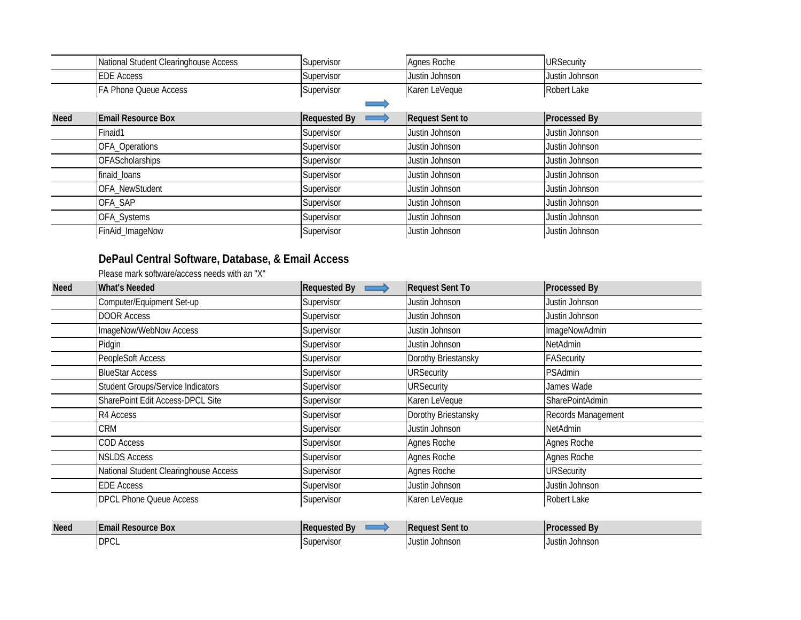|             | National Student Clearinghouse Access | Supervisor          | Agnes Roche            | <b>URSecurity</b>   |
|-------------|---------------------------------------|---------------------|------------------------|---------------------|
|             | <b>EDE Access</b>                     | Supervisor          | Justin Johnson         | Justin Johnson      |
|             | FA Phone Queue Access                 | Supervisor          | Karen LeVeque          | Robert Lake         |
|             |                                       |                     |                        |                     |
| <b>Need</b> | <b>Email Resource Box</b>             | <b>Requested By</b> | <b>Request Sent to</b> | <b>Processed By</b> |
|             | Finaid1                               | Supervisor          | Justin Johnson         | Justin Johnson      |
|             | OFA_Operations                        | Supervisor          | Justin Johnson         | Justin Johnson      |
|             | <b>OFAScholarships</b>                | Supervisor          | Justin Johnson         | Justin Johnson      |
|             | finaid_loans                          | Supervisor          | Justin Johnson         | Justin Johnson      |
|             | OFA_NewStudent                        | Supervisor          | Justin Johnson         | Justin Johnson      |
|             | OFA SAP                               | Supervisor          | Justin Johnson         | Justin Johnson      |
|             | OFA_Systems                           | Supervisor          | Justin Johnson         | Justin Johnson      |
|             | FinAid_ImageNow                       | Supervisor          | Justin Johnson         | Justin Johnson      |

# **DePaul Central Software, Database, & Email Access**

Please mark software/access needs with an "X"

| <b>Need</b> | <b>What's Needed</b>                     | <b>Requested By</b><br>$\implies$ | <b>Request Sent To</b> | <b>Processed By</b>  |
|-------------|------------------------------------------|-----------------------------------|------------------------|----------------------|
|             | Computer/Equipment Set-up                | Supervisor                        | Justin Johnson         | Justin Johnson       |
|             | <b>DOOR Access</b>                       | Supervisor                        | Justin Johnson         | Justin Johnson       |
|             | ImageNow/WebNow Access                   | Supervisor                        | Justin Johnson         | <b>ImageNowAdmin</b> |
|             | Pidgin                                   | Supervisor                        | Justin Johnson         | NetAdmin             |
|             | PeopleSoft Access                        | Supervisor                        | Dorothy Briestansky    | FASecurity           |
|             | <b>BlueStar Access</b>                   | Supervisor                        | <b>URSecurity</b>      | <b>PSAdmin</b>       |
|             | <b>Student Groups/Service Indicators</b> | Supervisor                        | <b>URSecurity</b>      | James Wade           |
|             | SharePoint Edit Access-DPCL Site         | Supervisor                        | Karen LeVeque          | SharePointAdmin      |
|             | R4 Access                                | Supervisor                        | Dorothy Briestansky    | Records Management   |
|             | <b>CRM</b>                               | Supervisor                        | Justin Johnson         | NetAdmin             |
|             | <b>COD Access</b>                        | Supervisor                        | Agnes Roche            | Agnes Roche          |
|             | <b>NSLDS Access</b>                      | Supervisor                        | Agnes Roche            | Agnes Roche          |
|             | National Student Clearinghouse Access    | Supervisor                        | Agnes Roche            | <b>URSecurity</b>    |
|             | <b>EDE Access</b>                        | Supervisor                        | Justin Johnson         | Justin Johnson       |
|             | <b>DPCL Phone Queue Access</b>           | Supervisor                        | Karen LeVeque          | Robert Lake          |

| <b>Need</b> | <b>IEmail Resource Box</b> | <b>IReauested Bv</b> | t Sent to<br>- Request | <b>IProcessed By</b> |
|-------------|----------------------------|----------------------|------------------------|----------------------|
|             | <b>DPCL</b>                | Supervisor           | Justin Johnsor         | Justin Johnson       |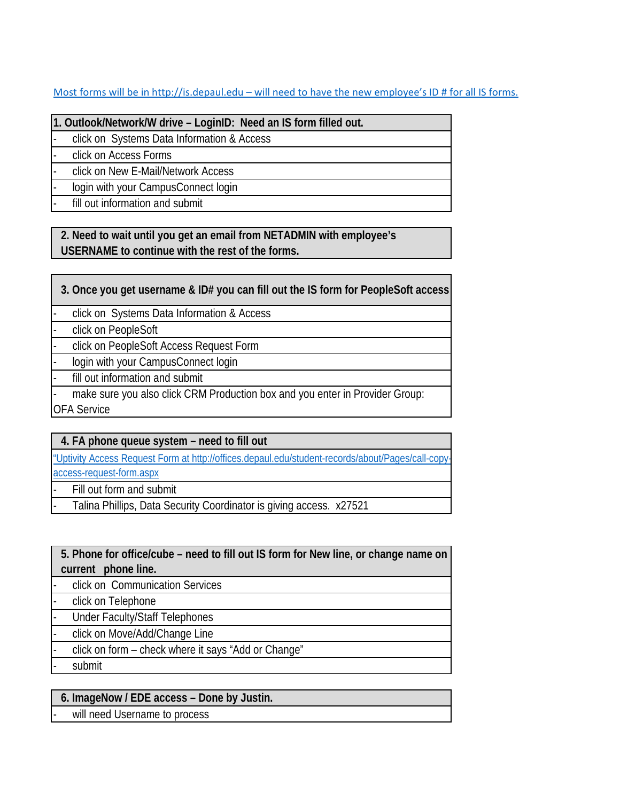[Most forms will be in http://is.depaul.edu – will need to have the new employee's ID # for all IS forms.](http://is.depaul.edu/)

**1. Outlook/Network/W drive – LoginID: Need an IS form filled out.** 

click on Systems Data Information & Access

- click on Access Forms

click on New E-Mail/Network Access

login with your CampusConnect login

fill out information and submit

**2. Need to wait until you get an email from NETADMIN with employee's USERNAME to continue with the rest of the forms.**

**3. Once you get username & ID# you can fill out the IS form for PeopleSoft access**

click on Systems Data Information & Access

click on PeopleSoft

- click on PeopleSoft Access Request Form

login with your CampusConnect login

fill out information and submit

make sure you also click CRM Production box and you enter in Provider Group: OFA Service

**4. FA phone queue system – need to fill out**

["Uptivity Access Request Form at http://offices.depaul.edu/student-records/about/Pages/call-copy](http://offices.depaul.edu/student-records/about/Pages/call-copy-access-request-form.aspx)[access-request-form.aspx](http://offices.depaul.edu/student-records/about/Pages/call-copy-access-request-form.aspx)

Fill out form and submit

Talina Phillips, Data Security Coordinator is giving access. x27521

**5. Phone for office/cube – need to fill out IS form for New line, or change name on current phone line.**

click on Communication Services

click on Telephone

Under Faculty/Staff Telephones

click on Move/Add/Change Line

- click on form – check where it says "Add or Change"

submit

**6. ImageNow / EDE access – Done by Justin.**

will need Username to process